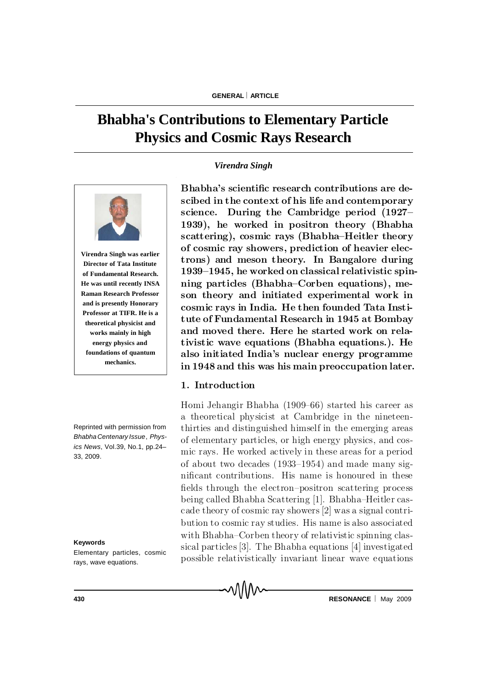# **Bhabha's Contributions to Elementary Particle Physics and Cosmic Rays Research**

## *Virendra Singh*



**Virendra Singh was earlier Director of Tata Institute of Fundamental Research. He was until recently INSA Raman Research Professor and is presently Honorary Professor at TIFR. He is a theoretical physicist and works mainly in high energy physics and foundations of quantum mechanics.**

Reprinted with permission from *Bhabha Centenary Issue*, *Physics News*, Vol.39, No.1, pp.24– 33, 2009.

**Keywords**

Elementary particles, cosmic rays, wave equations.

Bhabha's scientific research contributions are descibed in the context of his life and contemporary science. During the Cambridge period  $(1927-$ 1939), he worked in positron theory (Bhabha scattering), cosmic rays (Bhabha–Heitler theory of cosmic ray showers, prediction of heavier electrons) and meson theory. In Bangalore during  $1939-1945$ , he worked on classical relativistic spinning particles (Bhabha–Corben equations), meson theory and initiated experimental work in cosmic rays in India. He then founded Tata Institute of Fundamental Research in 1945 at Bombay and moved there. Here he started work on relativistic wave equations (Bhabha equations.). He also initiated India's nuclear energy programme in 1948 and this was his main preoccupation later.

## 1. Introduction

Homi Jehangir Bhabha (1909–66) started his career as a theoretical physicist at Cambridge in the nineteenth irties and distinguished himself in the emerging areas of elementary particles, or high energy physics, and cosmic rays. He worked actively in these areas for a period of about two decades  $(1933-1954)$  and made many significant contributions. His name is honoured in these fields through the electron-positron scattering process being called Bhabha Scattering [1]. Bhabha-Heitler cascade theory of cosmic ray showers  $[2]$  was a signal contribution to cosmic ray studies. His name is also associated with Bhabha–Corben theory of relativistic spinning classical particles  $[3]$ . The Bhabha equations  $[4]$  investigated possible relativistically invariant linear wave equations

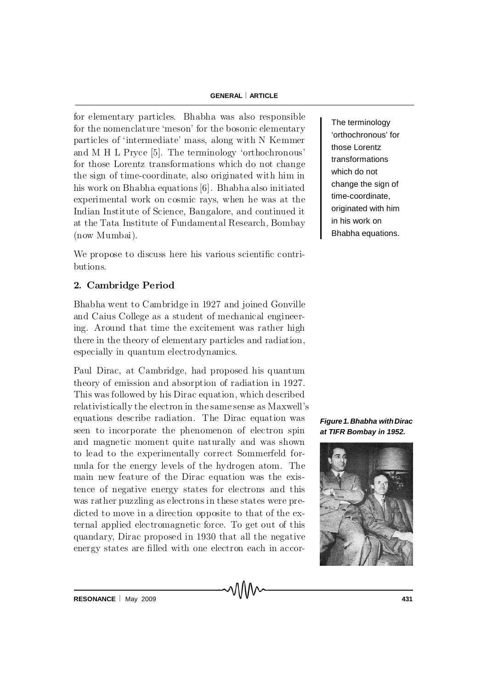for elementary particles. Bhabha was also responsible for the nomenclature 'meson' for the bosonic elementary particles of 'intermediate' mass, along with N Kemmer and M H L Pryce  $[5]$ . The terminology 'orthochronous' for those Lorentz transformations which do not change the sign of time-coordinate, also originated with him in his work on Bhabha equations [6]. Bhabha also initiated experimental work on cosmic rays, when he was at the Indian Institute of Science, Bangalore, and continued it at the Tata Institute of Fundamental Research, Bombay  $(now Mumbai).$ 

We propose to discuss here his various scientific contributions.

## 2. Cambridge Period

Bhabha went to Cambridge in 1927 and joined Gonville and Caius College as a student of mechanical engineering. Around that time the excitement was rather high there in the theory of elementary particles and radiation, especially in quantum electrodynamics.

equations describe radiation. The Dirac equation was Paul Dirac, at Cambridge, had proposed his quantum theory of emission and absorption of radiation in 1927. This was followed by his Dirac equation, which described relativistically the electron in the same sense as Maxwell's seen to incorporate the phenomenon of electron spin and magnetic moment quite naturally and was shown to lead to the experimentally correct Sommerfeld formula for the energy levels of the hydrogen atom. The main new feature of the Dirac equation was the existence of negative energy states for electrons and this was rather puzzling as electrons in these states were predicted to move in a direction opposite to that of the external applied electromagnetic force. To get out of this quandary, Dirac proposed in 1930 that all the negative energy states are filled with one electron each in accorThe terminology 'orthochronous' for those Lorentz transformations which do not change the sign of time-coordinate, originated with him in his work on Bhabha equations.

*Figure1.Bhabha withDirac at TIFR Bombay in 1952.*

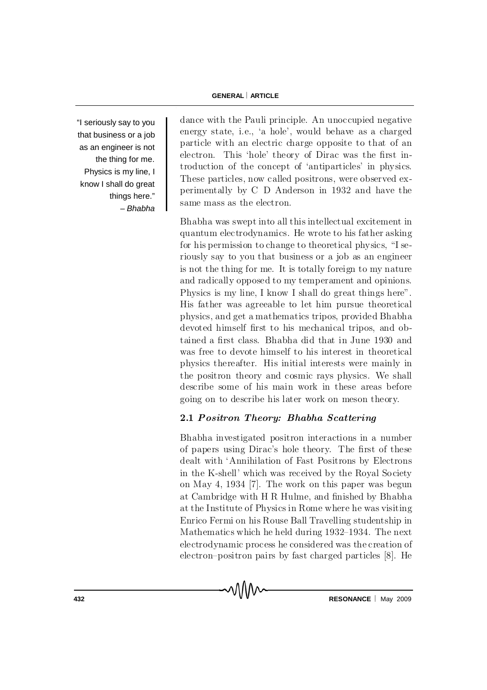"I seriously say to you that business or a job as an engineer is not the thing for me. Physics is my line, I know I shall do great things here." – *Bhabha*

dance with the Pauli principle. An unoccupied negative en ergy state, i.e., 'a hole', would be have as a charged particle with an electric charge opposite to that of an electron. This 'hole' theory of Dirac was the first introduction of the concept of 'antiparticles' in physics. These particles, now called positrons, were observed experimentally by C D Anderson in 1932 and have the same mass as the electron.

Bhabha was swept into all this intellectual excitement in quantum electrodynamics. He wrote to his father asking for his permission to change to theoretical physics,  $\mathrm{H}$  seriously say to you that business or a job as an engineer is not the thing for me. It is totally foreign to my nature and radically opposed to my temperament and opinions. Physics is my line, I know I shall do great things here". H is father was agreeable to let him pursue theoretical physics, and get a mathematics tripos, provided Bhabha devoted himself first to his mechanical tripos, and obtained a first class. Bhabha did that in June 1930 and was free to devote himself to his interest in theoretical physics thereafter. His initial interests were mainly in the positron theory and cosmic rays physics. We shall describe some of his main work in these areas before going on to describe his later work on meson theory.

## 2.1 Positron Theory: Bhabha Scattering

Bhabha investigated positron interactions in a number of papers using Dirac's hole theory. The first of these dealt with 'Annihilation of Fast Positrons by Electrons in the K-shell' which was received by the Royal Society on May 4, 1934 [7]. The work on this paper was begun at Cambridge with H R Hulme, and finished by Bhabha at the Institute of Physics in Rome where he was visiting Enrico Fermi on his Rouse Ball Travelling studentship in Mathematics which he held during  $1932-1934$ . The next electrod y namic process he considered was the creation of electron-positron pairs by fast charged particles  $[8]$ . He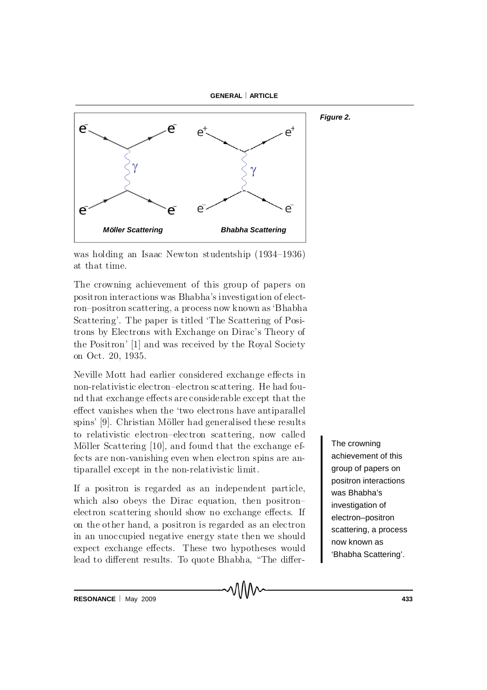



was holding an Isaac Newton studentship  $(1934–1936)$ at that time.

The crowning achievement of this group of papers on positron interactions was Bhabha's investigation of electron-positron scattering, a process now known as 'Bhabha Scattering'. The paper is titled 'The Scattering of Positrons by Electrons with Exchange on Dirac's Theory of the Positron' [1] and was received by the Royal Society on Oct. 20, 1935.

Neville Mott had earlier considered exchange effects in n on-relativistic electron-electron scattering. He had found that exchange effects are considerable except that the effect vanishes when the 'two electrons have antiparallel spins' [9]. Christian Möller had generalised these results to relativistic electron-electron scattering, now called Möller Scattering [10], and found that the exchange effects are non-vanishing even when electron spins are antip a rallel except in the non-relativistic limit.

If a positron is regarded as an independent particle, which also obeys the Dirac equation, then positronelectron scattering should show no exchange effects. If on the other hand, a positron is regarded as an electron in an unoccupied negative energy state then we should expect exchange effects. These two hypotheses would lead to different results. To quote Bhabha, "The differThe crowning achievement of this group of papers on positron interactions was Bhabha's investigation of electron–positron scattering, a process now known as 'Bhabha Scattering'.

**RESONANCE** May 2009 **433**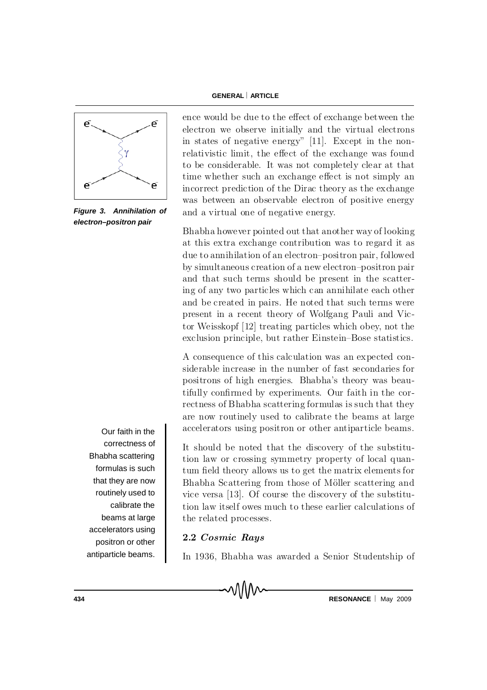



*Figure 3. Annihilation of electron–positron pair*

Our faith in the correctness of Bhabha scattering formulas is such that they are now routinely used to calibrate the beams at large accelerators using positron or other antiparticle beams.

ence would be due to the effect of exchange between the electron we observe initially and the virtual electrons in states of negative energy"  $[11]$ . Except in the nonrelativistic limit, the effect of the exchange was found to be considerable. It was not completely clear at that time whether such an exchange effect is not simply an in correct prediction of the Dirac theory as the exchange was between an observable electron of positive energy and a virtual one of negative energy.

Bhabha however pointed out that another way of looking at this extra exchange contribution was to regard it as due to annihilation of an electron-positron pair, followed by simultaneous creation of a new electron-positron pair and that such terms should be present in the scattering of any two particles which can annihilate each other and be created in pairs. He noted that such terms were present in a recent theory of Wolfgang Pauli and Victor Weisskopf  $[12]$  treating particles which obey, not the exclusion principle, but rather Einstein-Bose statistics.

A consequence of this calculation was an expected considerable increase in the number of fast secondaries for positrons of high energies. Bhabha's theory was beautifully confirmed by experiments. Our faith in the correctness of B habha scattering formulas is such that they are now routinely used to calibrate the beams at large accelerators using positron or other antiparticle beams.

It should be noted that the discovery of the substitution law or crossing symmetry property of local quantum field theory allows us to get the matrix elements for Bhabha Scattering from those of Möller scattering and vice versa  $[13]$ . Of course the discovery of the substitution law itself owes much to these earlier calculations of the related processes.

# 2.2 Cosmic Rays

In 1936, Bhabha was awarded a Senior Studentship of

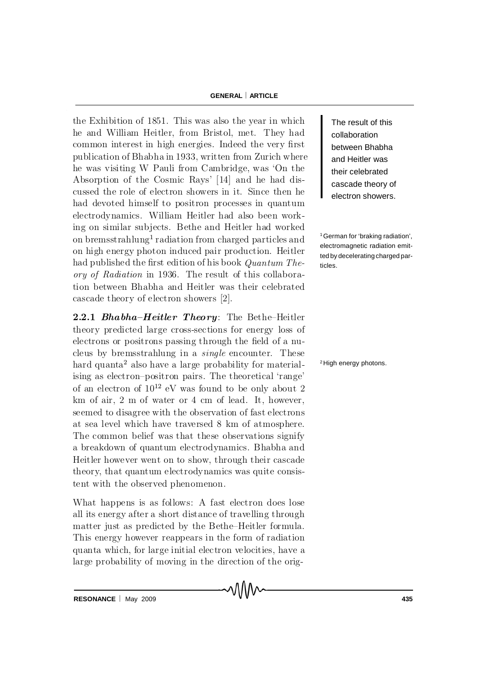the Exhibition of 1851. This was also the year in which he and William Heitler, from Bristol, met. They had common interest in high energies. Indeed the very first publication of Bhabha in 1933, written from Zurich where he was visiting W P au li from Cambridge, was 'On the Absorption of the Cosmic Rays' [14] and he had discussed the role of electron showers in it. Since then he had devoted himself to positron processes in quantum electrodynamics. William Heitler had also been working on similar subjects. Bethe and Heitler had worked on bremsstrahlung<sup>1</sup> radiation from charged particles and on high energy photon induced pair production. Heitler had published the first edition of his book  $Quantum The$ ory of Radiation in 1936. The result of this collaboration between Bhabha and Heitler was their celebrated ca sca de the ory of electron showers  $[2]$ .

2.2.1 Bhabha-Heitler Theory: The Bethe-Heitler theory predicted large cross-sections for energy loss of electrons or positrons passing through the field of a nucleus by bremsstrahlung in a  $single$  encounter. These hard quanta<sup>2</sup> also have a large probability for materialising as electron-positron pairs. The theoretical 'range' of an electron of  $10^{12}$  eV was found to be only about 2 km of air,  $2 \text{ m}$  of water or  $4 \text{ cm}$  of lead. It, however, seemed to disagree with the observation of fast electrons at sea level which have traversed 8 km of atmosphere. The common belief was that these observations signify a breakdown of quantum electrodynamics. Bhabha and Heitler however went on to show, through their cascade theory, that quantum electrodynamics was quite consistent with the observed phenomenon.

What happens is as follows: A fast electron does lose all its energy after a short distance of travelling through matter just as predicted by the Bethe–Heitler formula. This energy however reappears in the form of radiation quanta which, for large initial electron velocities, have a large probability of moving in the direction of the orig-

า/11/1∿

The result of this collaboration between Bhabha and Heitler was their celebrated cascade theory of electron showers.

<sup>1</sup> German for 'braking radiation', electromagnetic radiation emitted by decelerating charged particles.

<sup>2</sup>High energy photons.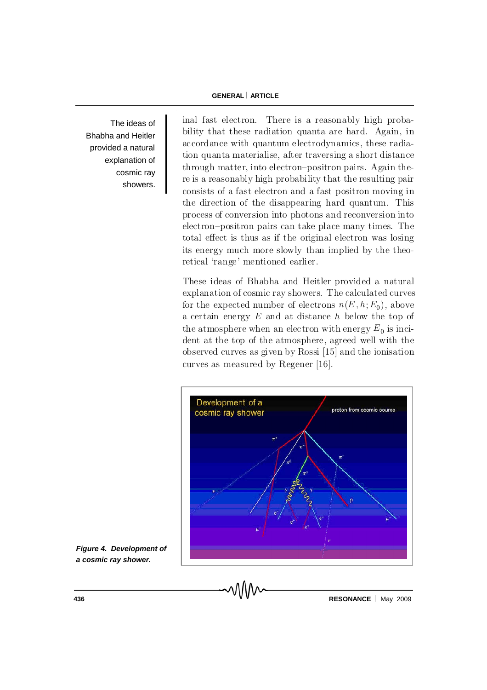The ideas of Bhabha and Heitler provided a natural explanation of cosmic ray showers.

inal fast electron. There is a reasonably high probability that these radiation quanta are hard. Again, in ac cordance with quantum electrodynamics, these radiation quanta materialise, after traversing a short distance  $through matter, into electron-positron pairs. Again the$ re is a reasonably high probability that the resulting pair consists of a fast electron and a fast positron moving in the direction of the disappearing hard quantum. This process of conversion into photons and reconversion into  $\alpha$  electron-positron pairs can take place many times. The total effect is thus as if the original electron was losing its energy much more slowly than implied by the theoretical 'range' mentioned earlier.

These ideas of Bhabha and Heitler provided a natural explanation of cosmic ray showers. The calculated curves for the expected number of electrons  $n(E, h; E_0)$ , above a certain energy  $E$  and at distance  $h$  below the top of the atmosphere when an electron with energy  $E_0$  is incident at the top of the atmosphere, agreed well with the observed curves as given by Rossi  $[15]$  and the ionisation curves as measured by Regener  $[16]$ .



*Figure 4. Development of a cosmic ray shower.*

**436 RESONANCE** May 2009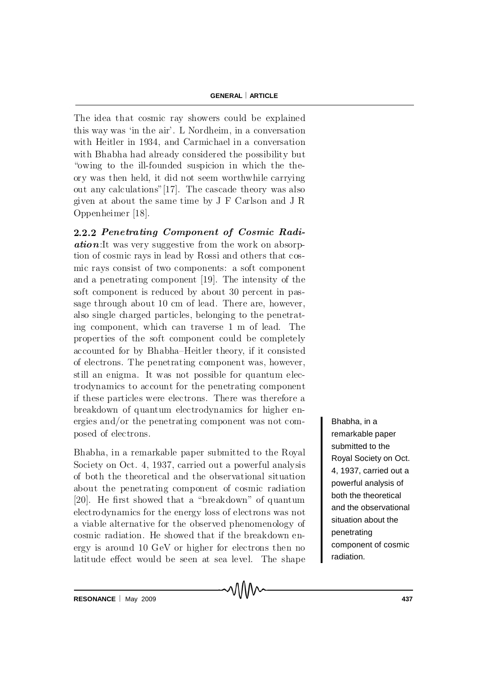The idea that cosmic ray showers could be explained this way was 'in the air'. L Nordheim, in a conversation with Heitler in 1934, and Carmichael in a conversation with Bhabha had already considered the possibility but "owing to the ill-founded suspicion in which the theory was then held, it did not seem worthwhile carrying out any calculations"  $[17]$ . The cascade theory was also given at about the same time by J F Carlson and J R Oppenheimer [18].

2.2.2 Penetrating Component of Cosmic Radi $ation$ :It was very suggestive from the work on absorption of cosmic rays in lead by Rossi and others that cosmic rays consist of two components: a soft component and a penetrating component  $[19]$ . The intensity of the soft component is reduced by about 30 percent in passage through about 10 cm of lead. There are, however, also single charged particles, belonging to the penetrating component, which can traverse 1 m of lead. The properties of the soft component could be completely accounted for by Bhabha–Heitler theory, if it consisted of electrons. The penetrating component was, however, still an enigma. It was not possible for quantum electrodynamics to account for the penetrating component if these particles were electrons. There was therefore a breakdown of quantum electrodynamics for higher energies and/or the penetrating component was not composed of electrons.

Bhabha, in a remarkable paper submitted to the Royal Society on Oct. 4, 1937, carried out a powerful analysis of both the theoretical and the observational situation about the penetrating component of cosmic radiation [20]. He first showed that a "break down" of quantum electro dynamics for the energy loss of electrons was not a viable alternative for the observed phenomenology of cosmic radiation. He showed that if the break down energy is around  $10 \text{ GeV}$  or higher for electrons then no la titude effect would be seen at sea level. The shape

Bhabha, in a remarkable paper submitted to the Royal Society on Oct. 4, 1937, carried out a powerful analysis of both the theoretical and the observational situation about the penetrating component of cosmic radiation.

**RESONANCE** May 2009 **437**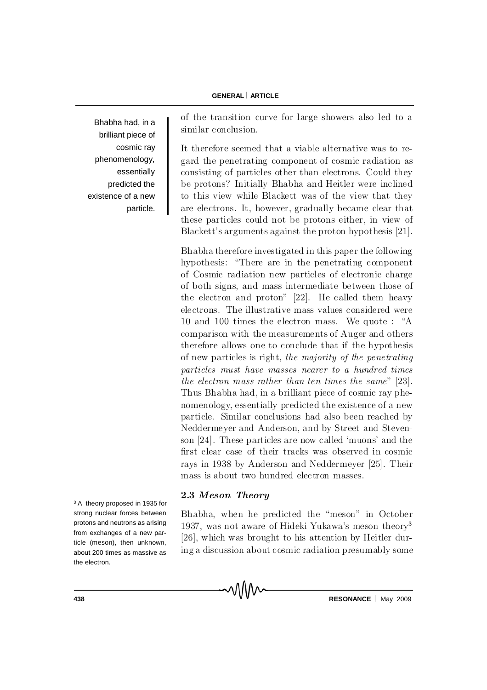Bhabha had, in a brilliant piece of cosmic ray phenomenology, essentially predicted the existence of a new particle. of the transition curve for large showers also led to a similar conclusion.

It therefore seemed that a viable alternative was to regard the penetrating component of cosmic radiation as consisting of particles other than electrons. Could they be protons? Initially Bhabha and Heitler were inclined to this view while Blackett was of the view that they are electrons. It, however, gradually became clear that these particles could not be protons either, in view of B lackett's arguments against the proton hypothesis  $[21]$ .

Bh a b h a therefore investigated in this paper the following hy pothesis: "There are in the penetrating component of Cosmic radiation new particles of electronic charge of both signs, and mass intermediate between those of the electron and proton"  $[22]$ . He called them heavy electrons. The illustrative mass values considered were 10 and 100 times the electron mass. We quote : "A comparison with the measurements of Auger and others therefore allows one to conclude that if the hypothesis of new particles is right, the majority of the penetrating particles must have masses nearer to a hundred times the electron mass rather than ten times the same"  $[23]$ . Thus Bhabha had, in a b rilliant piece of cosmic ray pheno m en ology, essentially predicted the existence of a new particle. Similar conclusions had also been reached by Neddermeyer and Anderson, and by Street and Stevenson  $[24]$ . These particles are now called 'muons' and the first clear case of their tracks was observed in cosmic rays in 1938 by Anderson and Neddermeyer [25]. Their mass is about two hundred electron masses.

## 2.3 Meson Theory

Bhabha, when he predicted the "meson" in October 1937, was not aware of Hideki Yukawa's meson theory<sup>3</sup>  $[26]$ , which was brought to his attention by Heitler during a discussion about cosmic radiation presumably some

<sup>3</sup> A theory proposed in 1935 for strong nuclear forces between protons and neutrons as arising from exchanges of a new particle (meson), then unknown, about 200 times as massive as the electron.

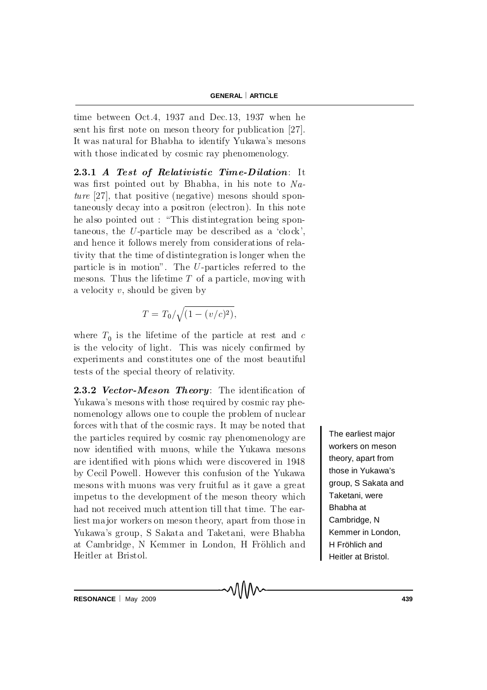time between Oct.4, 1937 and Dec.13, 1937 when he sent his first note on meson theory for publication  $[27]$ . It was natural for Bhabha to identify Yukawa's mesons with those indicated by cosmic ray phenomenology.

2.3.1 A Test of Relativistic Time-Dilation: It was first pointed out by Bhabha, in his note to  $Na$  $ture$  [27], that positive (negative) mesons should sponta neously decay into a positron (electron). In this note he also pointed out : "This distintegration being spontaneous, the  $U$ -particle may be described as a 'clock', and hence it follows merely from considerations of relativity that the time of distintegration is longer when the particle is in motion". The  $U$ -particles referred to the mesons. Thus the lifetime  $T$  of a particle, moving with a velocity  $v$ , should be given by

$$
T = T_0 / \sqrt{(1 - (v/c)^2)},
$$

where  $T_0$  is the lifetime of the particle at rest and c is the velocity of light. This was nicely confirmed by experiments and constitutes one of the most beautiful tests of the special theory of relativity.

**2.3.2 Vector-Meson Theory**: The identification of Yu kawa's mesons with those required by cosmic ray phenomenology allows one to couple the problem of nuclear forces with that of the cosmic rays. It may be noted that the particles required by cosmic ray phenomenology are now identified with muons, while the Yukawa mesons are identified with pions which were discovered in 1948 by Cecil Powell. However this confusion of the Yukawa mesons with muons was very fruitful as it gave a great impetus to the development of the meson theory which had not received much attention till that time. The earliest major workers on meson theory, apart from those in Yukawa's group, S Sakata and Taketani, were Bhabha at Cambridge, N Kemmer in London, H Fröhlich and Heitler at Bristol.

᠕᠕᠕

The earliest major workers on meson theory, apart from those in Yukawa's group, S Sakata and Taketani, were Bhabha at Cambridge, N Kemmer in London, H Fröhlich and Heitler at Bristol.

**RESONANCE** May 2009 **439**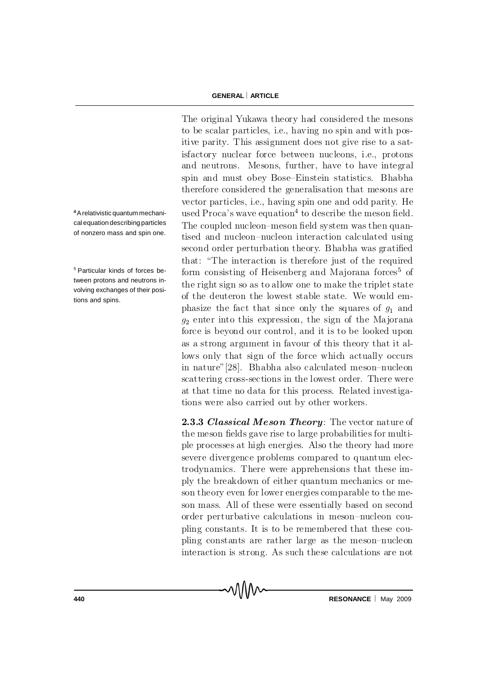**4**A relativistic quantum mechanical equation describing particles of nonzero mass and spin one.

<sup>5</sup> Particular kinds of forces between protons and neutrons involving exchanges of their positions and spins.

The original Yukawa theory had considered the mesons to be scalar particles, i.e., having no spin and with positive parity. This assignment does not give rise to a satisfactory nuclear force between nucleons, i.e., protons and neutrons. Mesons, further, have to have integral spin and must obey Bose–Einstein statistics. Bhabha therefore considered the generalisation that mesons are vector particles, i.e., having spin one and odd parity. He used Proca's wave equation<sup>4</sup> to describe the meson field. The coupled nucleon-meson field system was then quantised and nucleon-nucleon interaction calculated using second order perturbation theory. Bhabha was gratified that: "The interaction is therefore just of the required form consisting of Heisenberg and Majorana forces<sup>5</sup> of the right sign so as to allow one to make the triplet state of the deuteron the lowest stable state. We would emphasize the fact that since only the squares of  $g_1$  and  $g_2$  enter into this expression, the sign of the Majorana force is beyond our control, and it is to be looked upon as a strong argument in favour of this theory that it allows only that sign of the force which actually occurs in nature" [28]. Bhabha also calculated meson-nucleon scattering cross-sections in the lowest order. There were at that time no data for this process. Related investigations were also carried out by other workers.

2.3.3 Classical Meson Theory: The vector nature of the meson fields gave rise to large probabilities for multip le processes at high energies. Also the theory had more severe divergence problems compared to quantum electrodynamics. There were apprehensions that these imply the break down of either quantum mechanics or meson theory even for lower energies comparable to the meson mass. All of these were essentially based on second order perturbative calculations in meson-nucleon coupling constants. It is to be remembered that these coupling constants are rather large as the meson-nucleon interaction is strong. As such these calculations are not

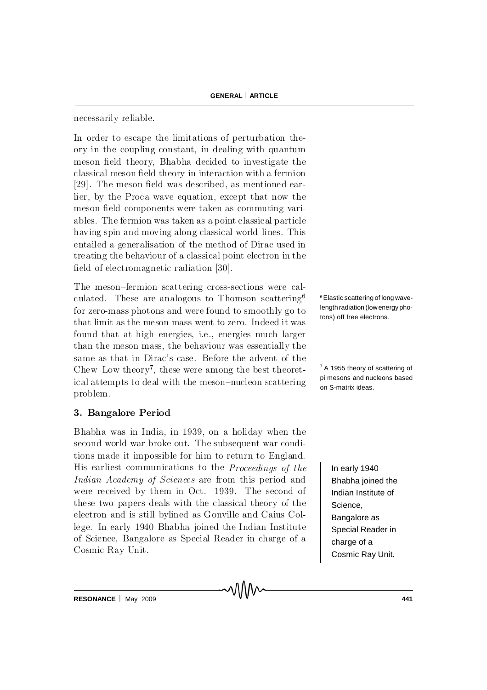necessarily reliable.

In order to escape the limitations of perturbation theory in the coupling constant, in dealing with quantum meson field theory, Bhabha decided to investigate the classical meson field theory in interaction with a fermion  $[29]$ . The meson field was described, as mentioned earlier, by the Proca wave equation, except that now the meson field components were taken as commuting variables. The fermion was taken as a point classical particle h aving spin and moving along classical world-lines. This entailed a generalisation of the method of Dirac used in treating the behaviour of a classical point electron in the field of electromagnetic radiation  $[30]$ .

The meson-fermion scattering cross-sections were calculated. These are analogous to Thomson scattering  $6$ for zero-mass photons and were found to smoothly go to that limit as the meson mass went to zero. Indeed it was found that at high energies, i.e., energies much larger than the meson mass, the behaviour was essentially the same as that in Dirac's case. Before the advent of the Chew–Low theory<sup>7</sup>, these were among the best theoretical attempts to deal with the meson-nucleon scattering problem.

## 3. Bangalore Period

Bhabha was in India, in 1939, on a holiday when the second world war broke out. The subsequent war conditions made it impossible for him to return to England. H is earliest communications to the  $Proceedings of the$ Indian Academy of Sciences are from this period and were received by them in Oct. 1939. The second of these two papers deals with the classical theory of the e lectron and is still by lined as Gonville and Caius College. In early 1940 Bhabha joined the Indian Institute of Science, Bangalore as Special Reader in charge of a Cosmic Ray Unit.

6Elastic scattering of long wavelength radiation (low energy photons) off free electrons.

<sup>7</sup> A 1955 theory of scattering of pi mesons and nucleons based on S-matrix ideas.

> In early 1940 Bhabha joined the Indian Institute of Science, Bangalore as Special Reader in charge of a Cosmic Ray Unit.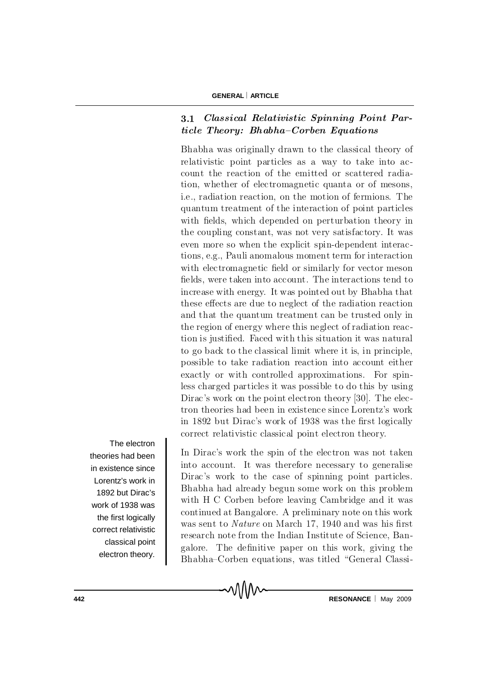# 3.1 Classical Relativistic Spinning Point Par $ticle The or y: Bhabha-Corben Equations$

Bhabha was originally drawn to the classical theory of relativistic point particles as a way to take into account the reaction of the emitted or scattered radiation, whether of electromagnetic quanta or of mesons, i.e., radiation reaction, on the motion of fermions. The quantum treatment of the interaction of point particles with fields, which depended on perturbation theory in the coupling constant, was not very satisfactory. It was even more so when the explicit spin-dependent interactions, e.g., Pauli anomalous moment term for interaction with electromagnetic field or similarly for vector meson fields, were taken into account. The interactions tend to increase with energy. It was pointed out by Bhabha that these effects are due to neglect of the radiation reaction and that the quantum treatment can be trusted only in the region of energy where this neglect of radiation reaction is justified. Faced with this situation it was natural to go back to the classical limit where it is, in principle, possible to take radiation reaction into account either exactly or with controlled approximations. For spinless charged particles it was possible to do this by using Dirac's work on the point electron theory [30]. The electron theories had been in existence since Lorentz's work in 1892 but Dirac's work of 1938 was the first logically correct relativistic classical point electron theory.

The electron theories had been in existence since Lorentz's work in 1892 but Dirac's work of 1938 was the first logically correct relativistic classical point electron theory.

In Dirac's work the spin of the electron was not taken into account. It was therefore necessary to generalise Dirac's work to the case of spinning point particles. Bhabha had already begun some work on this problem with H C Corben before leaving Cambridge and it was continued at Bangalore. A preliminary note on this work was sent to  $Nature$  on March 17, 1940 and was his first re search note from the Indian Institute of Science, Bangalore. The definitive paper on this work, giving the Bhabha–Corben equations, was titled "General Classi-

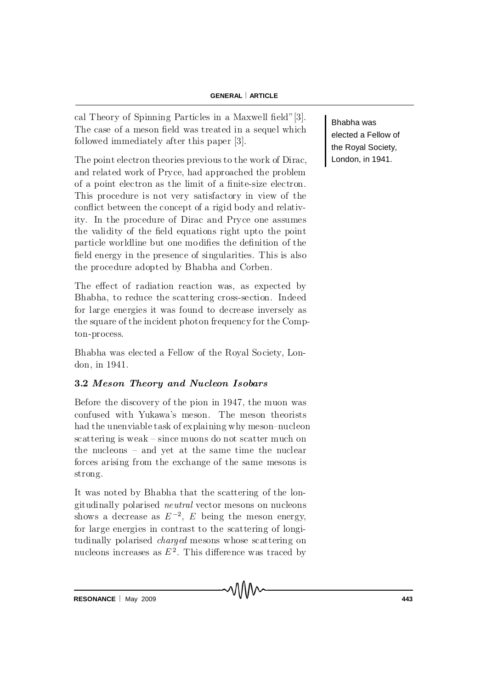cal Theory of Spinning Particles in a Maxwell field" [3]. The case of a meson field was treated in a sequel which followed immediately after this paper [3].

The point electron theories previous to the work of Dirac, and related work of Pryce, had approached the problem of a point electron as the limit of a finite-size electron. This procedure is not very satisfactory in view of the conflict between the concept of a rigid body and relativity. In the procedure of Dirac and Pryce one assumes the validity of the field equations right upto the point particle world line but one modifies the definition of the field energy in the presence of singularities. This is also the procedure adopted by Bhabha and Corben.

The effect of radiation reaction was, as expected by Bhabha, to reduce the scattering cross-section. Indeed for large energies it was found to decrease inversely as the square of the incident photon frequency for the Compton-process.

Bhabha was elected a Fellow of the Royal Society, London, in 1941.

# 3.2 Meson Theory and Nucleon Isobars

Before the discovery of the pion in 1947, the muon was confused with Yukawa's meson. The meson theorists had the unenviable task of explaining why meson-nucleon  $s$ c attering is weak  $-s$  ince muons do not scatter much on the nucleons  $-$  and yet at the same time the nuclear forces arising from the exchange of the same mesons is strong.

It was noted by Bhabha that the scattering of the longitudinally polarised *neutral* vector mesons on nucleons shows a decrease as  $E^{-2}$ , E being the meson energy, for large energies in contrast to the scattering of longitu dinally polarised *charged* mesons whose scattering on nucleons increases as  $E^2$ . This difference was traced by Bhabha was elected a Fellow of the Royal Society, London, in 1941.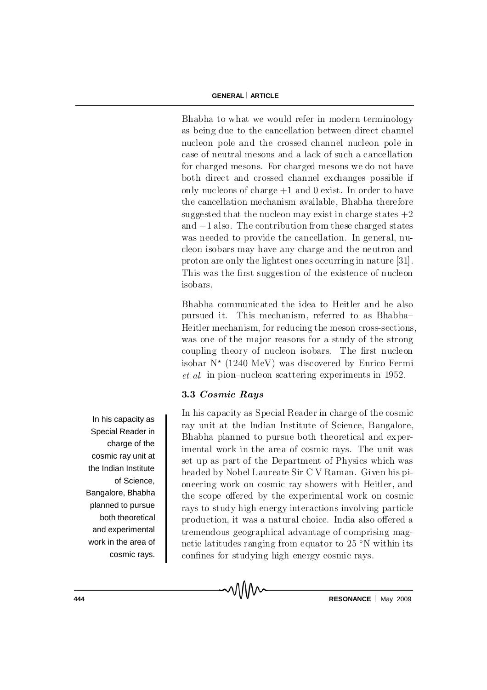Bhabha to what we would refer in modern terminology as being due to the cancellation between direct channel nucleon pole and the crossed channel nucleon pole in case of neutral mesons and a lack of such a cancellation for charged mesons. For charged mesons we do not have both direct and crossed channel exchanges possible if only nucleons of charge  $+1$  and 0 exist. In order to have the cancellation mechanism available, Bhabha therefore suggested that the nucleon may exist in charge states  $+2$ and  $-1$  also. The contribution from these charged states was needed to provide the cancellation. In general, nucleon isobars may have any charge and the neutron and proton are only the lightest ones occurring in nature [31]. This was the first suggestion of the existence of nucleon isobars.

Bhabha communicated the idea to Heitler and he also pursued it. This mechanism, referred to as Bhabha-Heitler mechanism, for reducing the meson cross-sections, was one of the major reasons for a study of the strong coupling theory of nucleon isobars. The first nucleon isobar  $N^*$  (1240 MeV) was discovered by Enrico Fermi et al. in pion-nucleon scattering experiments in 1952.

## 3.3 Cosmic Rays

In his capacity as Special Reader in charge of the cosmic ray unit at the Indian Institute of Science, Bangalore, Bhabha planned to pursue both theoretical and experimental work in the area of cosmic rays. The unit was set up as part of the Department of Physics which was headed by Nobel Laureate Sir C V Raman. Given his pioneering work on cosmic ray showers with Heitler, and the scope offered by the experimental work on cosmic ray to study high energy interactions involving particle production, it was a natural choice. India also offered a trem endous geographical advantage of comprising magnetic latitudes ranging from equator to  $25 \degree N$  within its confines for studying high energy cosmic rays.



In his capacity as Special Reader in charge of the cosmic ray unit at the Indian Institute of Science, Bangalore, Bhabha planned to pursue both theoretical and experimental work in the area of cosmic rays.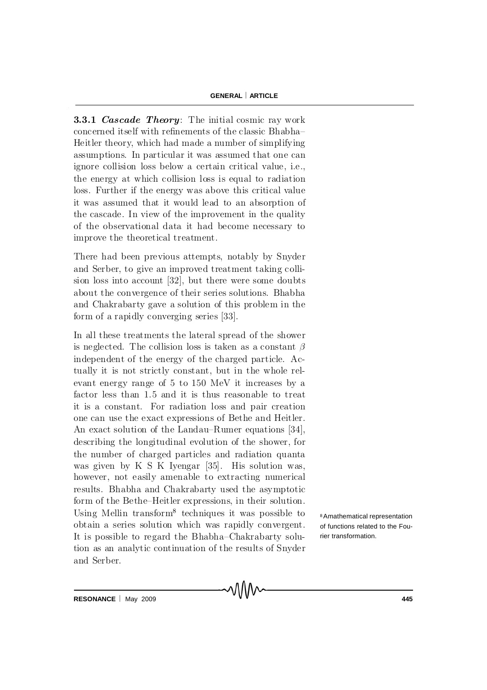**3.3.1 Cascade Theory:** The initial cosmic ray work concerned itself with refinements of the classic Bhabha-Heitler theory, which had made a number of simplifying assumptions. In particular it was assumed that one can ignore collision loss below a certain critical value, i.e., the energy at which collision loss is equal to radiation loss. Further if the energy was above this critical value it was assumed that it would lead to an absorption of the cascade. In view of the improvement in the quality of the observational data it had become necessary to improve the theoretical treatment.

There had been previous attempts, notably by Snyder and Serber, to give an improved treatment taking collision loss into account  $[32]$ , but there were some doubts about the convergence of their series solutions. Bhabha and Chakrabarty gave a solution of this problem in the form of a rapidly converging series  $[33]$ .

In all these treatments the lateral spread of the shower is neglected. The collision loss is taken as a constant  $\beta$ in dependent of the energy of the charged particle. Actually it is not strictly constant, but in the whole relevant energy range of  $5$  to  $150$  MeV it increases by a factor less than 1.5 and it is thus reasonable to treat it is a constant. For radiation loss and pair creation one can use the exact expressions of Bethe and Heitler. An exact solution of the Landau–Rumer equations  $[34]$ , describing the longitudinal evolution of the shower, for the number of charged particles and radiation quanta was given by K S K Iyengar  $[35]$ . His solution was, however, not easily amenable to extracting numerical results. Bhabha and Chakrabarty used the asymptotic form of the Bethe-Heitler expressions, in their solution. Using Mellin transform<sup>8</sup> techniques it was possible to obtain a series solution which was rapidly convergent. It is possible to regard the Bhabha–Chakrabarty solution as an analytic continuation of the results of Snyder and Serber.

᠕᠕᠕

<sup>8</sup>Amathematical representation of functions related to the Fourier transformation.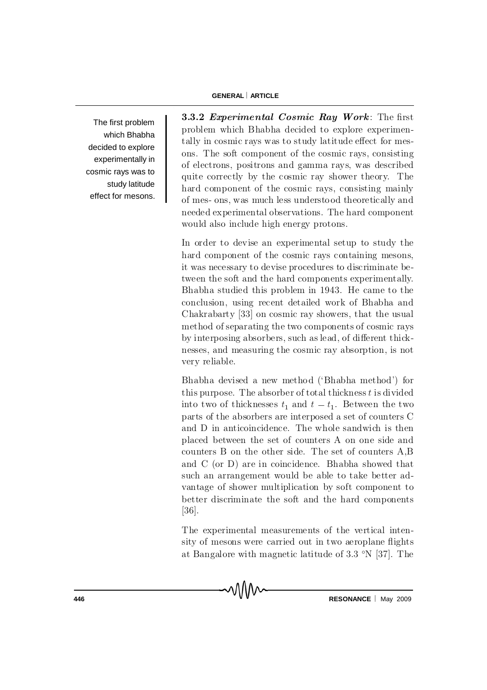The first problem which Bhabha decided to explore experimentally in cosmic rays was to study latitude effect for mesons. 3.3.2 Experimental Cosmic Ray Work: The first problem which B habha decided to explore experimentally in cosmic rays was to study latitude effect for mesons. The soft component of the cosmic rays, consisting of electrons, positrons and gamma rays, was described quite correctly by the cosmic ray shower theory. The h ard component of the cosmic rays, consisting mainly of mes- ons, was much less understood theoretically and needed experimental observations. The hard component would also include high energy protons.

In order to devise an experimental setup to study the hard component of the cosmic rays containing mesons, it was necessary to devise procedures to discriminate between the soft and the hard components experimentally. Bhabha studied this problem in 1943. He came to the conclusion, using recent detailed work of Bhabha and Chakrabarty  $[33]$  on cosmic ray showers, that the usual method of separating the two components of cosmic rays by interposing absorbers, such as lead, of different thicknesses, and measuring the cosmic ray absorption, is not very reliable.

Bhabha devised a new method ('Bhabha method') for this purpose. The absorber of total thickness  $t$  is divided into two of thicknesses  $t_1$  and  $t - t_1$ . Between the two parts of the absorbers are interposed a set of counters C and D in anticoincidence. The whole sandwich is then placed between the set of counters A on one side and counters B on the other side. The set of counters  $A, B$ and  $C$  (or  $D$ ) are in coincidence. Bhabha showed that such an arrangement would be able to take better advantage of shower multiplication by soft component to better discriminate the soft and the hard components  $[36]$ .

The experimental measurements of the vertical intensity of mesons were carried out in two aeroplane flights at Bangalore with magnetic latitude of  $3.3 \text{ }^{\circ}N$  [37]. The

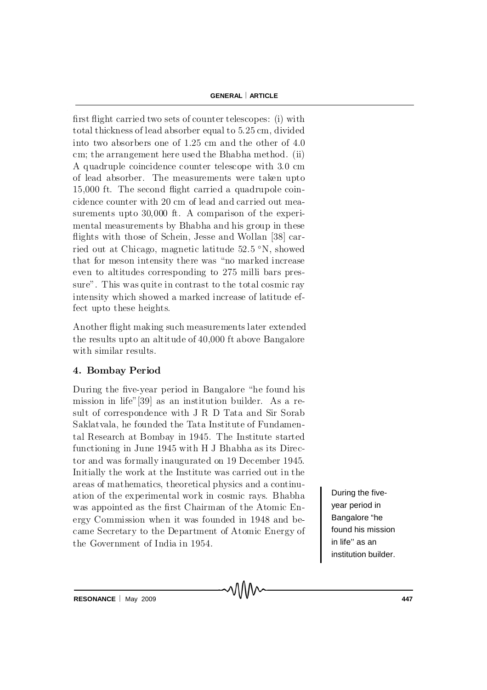first flight carried two sets of counter telescopes: (i) with total thickness of lead absorber equal to 5.25 cm, divided into two absorbers one of  $1.25$  cm and the other of  $4.0$ cm; the arrangement here used the Bhabha method. (ii) A quadruple coincidence counter telescope with 3.0 cm of lead absorber. The measurements were taken upto  $15,000$  ft. The second flight carried a quadrupole coincidence counter with 20 cm of lead and carried out measurements upto  $30,000$  ft. A comparison of the experim ental measurements by Bhabha and his group in these flights with those of Schein, Jesse and Wollan [38] carried out at Chicago, magnetic latitude 52.5 °N, showed that for meson intensity there was "no marked increase" even to altitudes corresponding to 275 milli bars pressure". This was quite in contrast to the total cosmic ray intensity which showed a marked increase of latitude effect up to these heights.

A n o therefight making such measure ments later extended the results up to an altitude of 40,000 ft above Bangalore with similar results.

## 4. Bombay Period

During the five-year period in Bangalore "he found his mission in life" [39] as an institution builder. As a result of correspondence with J R D Tata and Sir Sorab Saklatvala, he founded the Tata Institute of Fundamental Research at Bombay in 1945. The Institute started functioning in June 1945 with H J Bhabha as its Director and was formally inaugurated on 19 December 1945. Initially the work at the Institute was carried out in the areas of mathematics, theoretical physics and a continuation of the experimental work in cosmic rays. Bhabha was appointed as the first Chairman of the Atomic Energy Commission when it was founded in 1948 and became Secretary to the Department of Atomic Energy of the Government of India in 1954.

VIIIV

During the fiveyear period in Bangalore "he found his mission in life'' as an institution builder.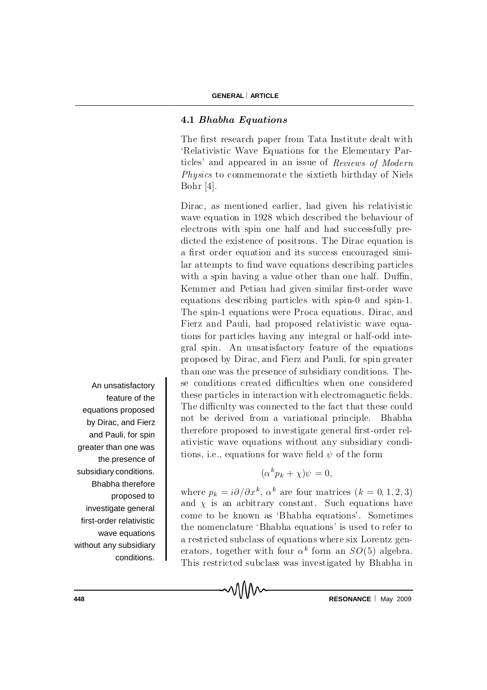#### 4.1 Bhabha Equations

The first research paper from Tata Institute dealt with 'Relativistic Wave Equations for the Elementary Particles' and appeared in an issue of Reviews of Modern  $Physics to commence more to estimate the sixth birthday of Niels$ Bohr  $[4]$ .

Dirac, as mentioned earlier, had given his relativistic wave equation in 1928 which described the behaviour of electrons with spin one half and had successfully predicted the existence of positrons. The Dirac equation is a first order equation and its success encouraged similar attempts to find wave equations describing particles with a spin having a value other than one half. Duffin, Kemmer and Petiau had given similar first-order wave equations describing particles with spin-0 and spin-1. The spin-1 equations were Proca equations. Dirac, and Fierz and Pauli, had proposed relativistic wave equations for particles having any integral or half-odd integral spin. An unsatisfactory feature of the equations proposed by Dirac, and Fierz and Pauli, for spin greater than one was the presence of subsidiary conditions. These conditions created difficulties when one considered these particles in interaction with electromagnetic fields. The difficulty was connected to the fact that these could not be derived from a variational principle. Bhabha therefore proposed to investigate general first-order relativistic wave equations without any subsidiary conditions, i.e., equations for wave field  $\psi$  of the form

$$
(\alpha^k p_k + \chi)\psi = 0,
$$

where  $p_k = i\partial/\partial x^k$ ,  $\alpha^k$  are four matrices  $(k = 0, 1, 2, 3)$ and  $\chi$  is an arbitrary constant. Such equations have come to be known as 'Bhabha equations'. Sometimes the nomenclature 'Bhabha equations' is used to refer to a restricted subclass of equations where six Lorentz generators, together with four  $\alpha^k$  form an  $SO(5)$  algebra. This restricted subclass was investigated by Bhabha in

An unsatisfactory feature of the equations proposed by Dirac, and Fierz and Pauli, for spin greater than one was the presence of subsidiary conditions. Bhabha therefore proposed to investigate general first-order relativistic wave equations without any subsidiary conditions.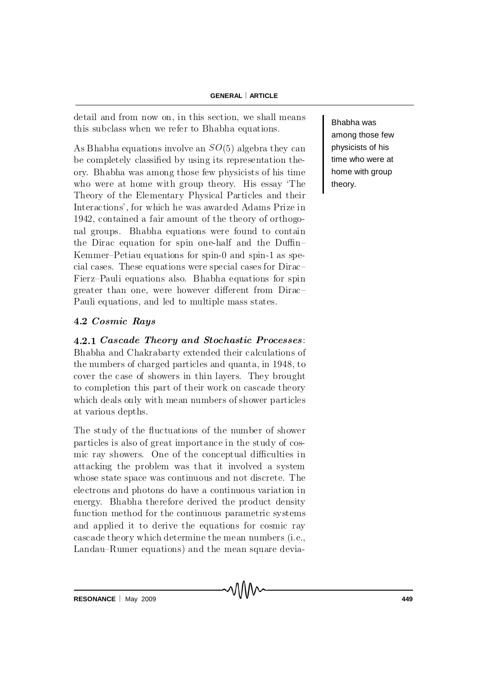de tail and from now on, in this section, we shall means this subclass when we refer to Bhabha equations.

As B habha equations involve an  $SO(5)$  algebra they can be completely classified by using its representation theory. Bhabha was among those few physicists of his time who were at home with group theory. His essay 'The Theory of the Elementary Physical Particles and their Interactions', for which he was awarded Adams Prize in 1942, contained a fair amount of the theory of orthogonal groups. Bhabha equations were found to contain the Dirac equation for spin one-half and the Duffin-Kemmer–Petiau equations for spin-0 and spin-1 as special cases. These equations were special cases for  $Dirac$ Fierz-Pauli equations also. Bhabha equations for spin greater than one, were however different from Dirac-P au li equations, and led to multiple mass states.

## 4.2 Cosmic Rays

4.2.1 Cascade Theory and Stochastic Processes: Bhabha and Chakrabarty extended their calculations of the numbers of charged particles and quanta, in 1948, to cover the case of showers in thin layers. They brought to completion this part of their work on cascade theory which deals only with mean numbers of shower particles at various depths.

The study of the fluctuations of the number of shower particles is also of great importance in the study of cosmic ray showers. One of the conceptual difficulties in attacking the problem was that it involved a system whose state space was continuous and not discrete. The electrons and photons do have a continuous variation in en ergy. Bhabha therefore derived the product density function method for the continuous parametric systems and applied it to derive the equations for cosmic ray ca scade theory which determine the mean numbers (i.e., Landau–Rumer equations) and the mean square deviaBhabha was among those few physicists of his time who were at home with group theory.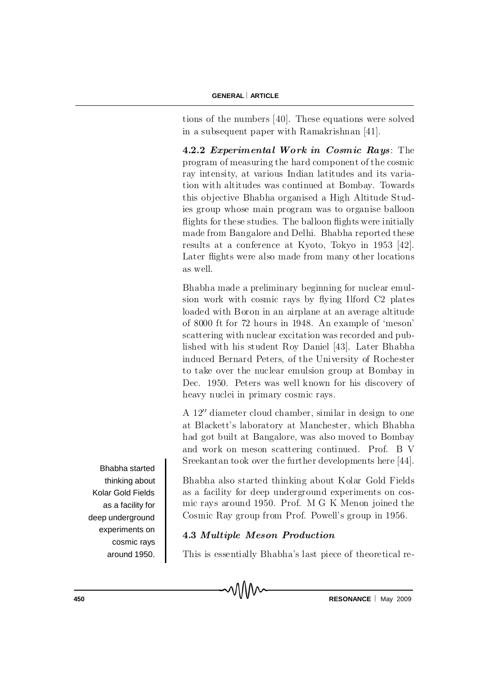tions of the numbers  $[40]$ . These equations were solved in a subsequent paper with Ramakrishnan [41].

4.2.2 Experimental Work in Cosmic Rays: The program of measuring the hard component of the cosmic ray intensity, at various Indian latitudes and its variation with altitudes was continued at Bombay. Towards this objective Bhabha organised a High Altitude Studies group whose main program was to organise balloon flights for these studies. The balloon flights were initially made from Bangalore and Delhi. Bhabha reported these results at a conference at Kyoto, Tokyo in 1953 [42]. Later flights were also made from many other locations as well.

Bhabha made a preliminary beginning for nuclear emulsion work with cosmic rays by flying Ilford C2 plates loaded with B oron in an airplane at an average altitude of 8000 ft for 72 hours in 1948. An example of 'meson' scattering with nuclear excitation was recorded and published with his student Roy Daniel [43]. Later Bhabha induced Bernard Peters, of the University of Rochester to take over the nuclear emulsion group at Bombay in Dec. 1950. Peters was well known for his discovery of heavy nuclei in primary cosmic rays.

A  $12''$  diameter cloud chamber, similar in design to one at Blackett's laboratory at Manchester, which Bhabha had got built at Bangalore, was also moved to Bombay and work on meson scattering continued. Prof. B V S reekantan to ok over the further developments here  $[44]$ .

Bhabha also started thinking about Kolar Gold Fields as a facility for deep underground experiments on cosmic rays around 1950. Prof. M G K Menon joined the Cosmic Ray group from Prof. Powell's group in 1956.

## 4.3 Multiple Meson Production

This is essentially Bhabha's last piece of theoretical re-



Bhabha started thinking about Kolar Gold Fields as a facility for deep underground experiments on cosmic rays around 1950.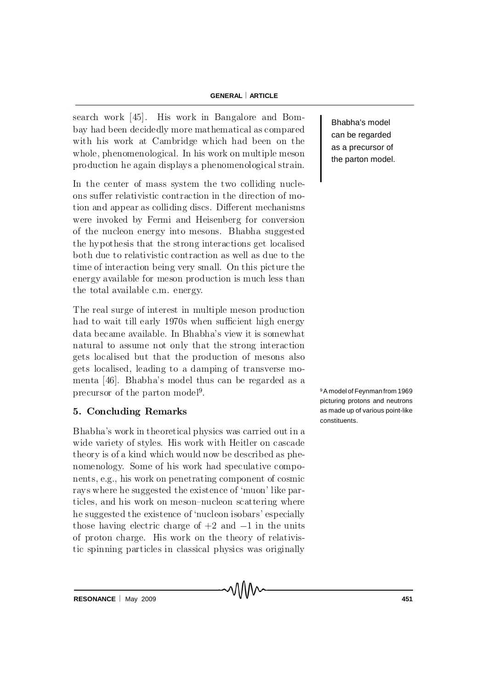search work [45]. His work in Bangalore and Bombay had been decidedly more mathematical as compared with his work at Cambridge which had been on the whole, phenomenological. In his work on multiple meson production he again displays a phenomenological strain.

In the center of mass system the two colliding nucleons suffer relativistic contraction in the direction of motion and appear as colliding discs. Different mechanisms were invoked by Fermi and Heisenberg for conversion of the nucleon energy into mesons. Bhabha suggested the hypothesis that the strong interactions get localised both due to relativistic contraction as well as due to the time of interaction being very small. On this picture the energy available for meson production is much less than the total available c.m. energy.

The real surge of interest in multiple meson production had to wait till early 1970s when sufficient high energy d ata became available. In Bh a b h a's view it is somewhat natural to assume not only that the strong interaction gets localised but that the production of mesons also gets localised, leading to a damping of transverse momenta [46]. Bhabha's model thus can be regarded as a precursor of the parton model<sup>9</sup>.

## 5. Concluding Remarks

Bhabha's work in the orietical physics was carried out in a wide variety of styles. His work with Heitler on cascade theory is of a kind which would now be described as phenomenology. Some of his work had speculative compon ents, e.g., his work on penetrating component of cosmic ray s where he suggested the existence of 'muon' like particles, and his work on meson-nucleon scattering where he suggested the existence of 'nucleon isobars' especially those having electric charge of  $+2$  and  $-1$  in the units of proton charge. His work on the theory of relativistic spinning particles in classical physics was originally

Bhabha's model can be regarded as a precursor of the parton model.

<sup>9</sup>A model of Feynman from 1969 picturing protons and neutrons as made up of various point-like constituents.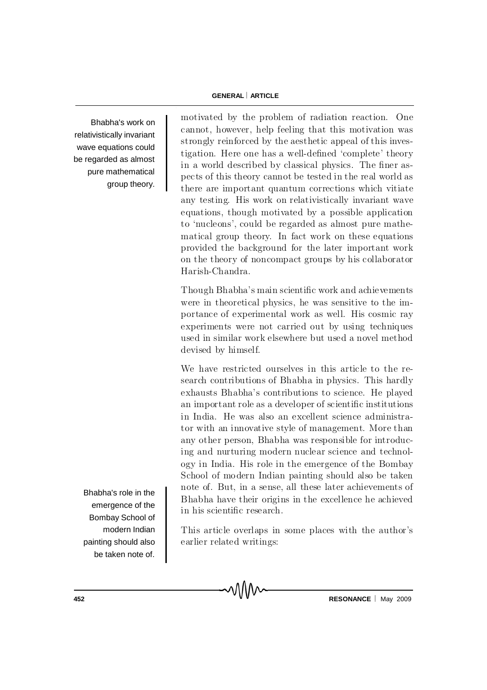Bhabha's work on relativistically invariant wave equations could be regarded as almost pure mathematical group theory. motivated by the problem of radiation reaction. One cannot, however, help feeling that this motivation was strongly reinforced by the aesthetic appeal of this investigation. Here one has a well-defined 'complete' theory in a world described by classical physics. The finer aspects of this theory cannot be tested in the real world as there are important quantum corrections which vitiate any testing. His work on relativistically invariant wave equations, though motivated by a possible application to 'nucleons', could be regarded as almost pure mathematical group theory. In fact work on these equations provided the background for the later important work on the theory of noncompact groups by his collaborator Harish-Chandra.

Though Bhabha's main scientific work and achievements were in theoretical physics, he was sensitive to the importance of experimental work as well. His cosmic ray experiments were not carried out by using techniques used in similar work elsewhere but used a novel method devised by himself.

We have restricted ourselves in this article to the research contributions of Bhabha in physics. This hardly exhausts Bhabha's contributions to science. He played an important role as a developer of scientific institutions in India. He was also an excellent science administrator with an innovative style of management. More than any other person, Bhabha was responsible for introducing and nurturing modern nuclear science and technology in India. His role in the emergence of the Bombay School of modern Indian painting should also be taken note of. But, in a sense, all these later achievements of Bhabha have their origins in the excellence he achieved in his scientific research.

This article overlaps in some places with the author's e arlier related writings:

Bhabha's role in the emergence of the Bombay School of modern Indian painting should also be taken note of.

**452 RESONANCE** May 2009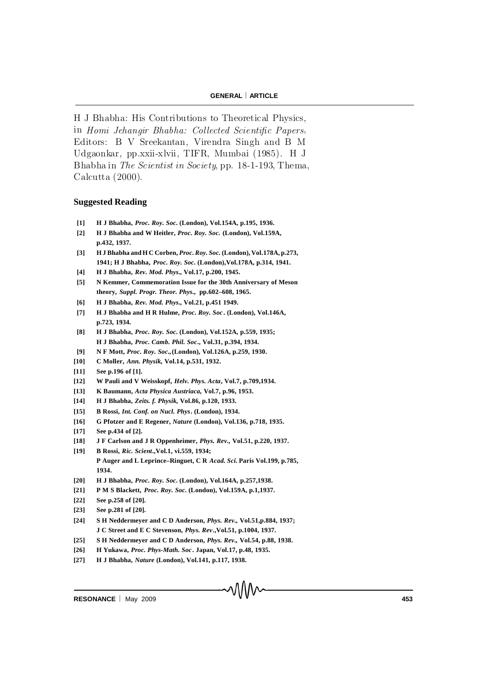H J Bhabha: His Contributions to Theoretical Physics, in Homi Jehangir Bhabha: Collected Scientific Papers, Editors: B V Sreekantan, Virendra Singh and B M U d g ao n kar, pp .x xii-x lvii, TIFR, Mumbai (1985). H J Bhabha in The Scientist in Society, pp.  $18-1-193$ , Thema, Calcutta  $(2000)$ .

#### **Suggested Reading**

- **[1] H J Bhabha,** *Proc. Roy. Soc***. (London), Vol.154A, p.195, 1936.**
- **[2] H J Bhabha and W Heitler,** *Proc. Roy. Soc.* **(London), Vol.159A, p.432, 1937.**
- **[3] H J Bhabha and H C Corben,** *Proc. Roy. Soc.* **(London), Vol.178A, p.273, 1941; H J Bhabha,** *Proc. Roy. Soc***. (London),Vol.178A, p.314, 1941.**
- **[4] H J Bhabha,** *Rev. Mod. Phys***., Vol.17, p.200, 1945.**
- **[5] N Kemmer, Commemoration Issue for the 30th Anniversary of Meson theory,** *Suppl. Progr. Theor. Phys***., pp.602–608, 1965.**
- **[6] H J Bhabha,** *Rev. Mod. Phys***., Vol.21, p.451 1949.**
- **[7] H J Bhabha and H R Hulme,** *Proc. Roy. Soc* **. (London), Vol.146A, p.723, 1934.**
- **[8] H J Bhabha,** *Proc. Roy. Soc***. (London), Vol.152A, p.559, 1935; H J Bhabha,** *Proc. Camb. Phil. Soc***., Vol.31, p.394, 1934.**
- **[9] N F Mott,** *Proc. Roy. Soc.,***(London), Vol.126A, p.259, 1930.**
- **[10] C Moller,** *Ann. Physik,* **Vol.14, p.531, 1932.**
- **[11] See p.196 of [1].**
- **[12] W Pauli and V Weisskopf,** *Helv. Phys. Acta***, Vol.7, p.709,1934.**
- **[13] K Baumann,** *Acta Physica Austriaca,* **Vol.7, p.96, 1953.**
- **[14] H J Bhabha,** *Zeits. f. Physik,* **Vol.86, p.120, 1933.**
- **[15] B Rossi,** *Int. Conf. on Nucl. Phys***. (London), 1934.**
- **[16] G Pfotzer and E Regener,** *Nature* **(London), Vol.136, p.718, 1935.**
- **[17] See p.434 of [2].**
- **[18] J F Carlson and J R Oppenheimer,** *Phys. Rev.,* **Vol.51, p.220, 1937.**
- **[19] B Rossi,** *Ric. Scient***.,Vol.1, vi.559, 1934; P Auger and L Leprince–Ringuet, C R** *Acad. Sci.* **Paris Vol.199, p.785, 1934.**
- **[20] H J Bhabha,** *Proc. Roy. Soc***. (London), Vol.164A, p.257,1938.**
- **[21] P M S Blackett,** *Proc. Roy. Soc***. (London), Vol.159A, p.1,1937.**
- **[22] See p.258 of [20].**
- **[23] See p.281 of [20].**
- **[24] S H Neddermeyer and C D Anderson,** *Phys. Rev.,* **Vol.51,p.884, 1937; J C Street and E C Stevenson,** *Phys. Rev***.,Vol.51, p.1004, 1937.**
- **[25] S H Neddermeyer and C D Anderson,** *Phys. Rev.,* **Vol.54, p.88, 1938.**
- **[26] H Yukawa,** *Proc. Phys-Math. Soc***. Japan, Vol.17, p.48, 1935.**
- **[27] H J Bhabha,** *Nature* **(London), Vol.141, p.117, 1938.**

**RESONANCE** May 2009 **453**